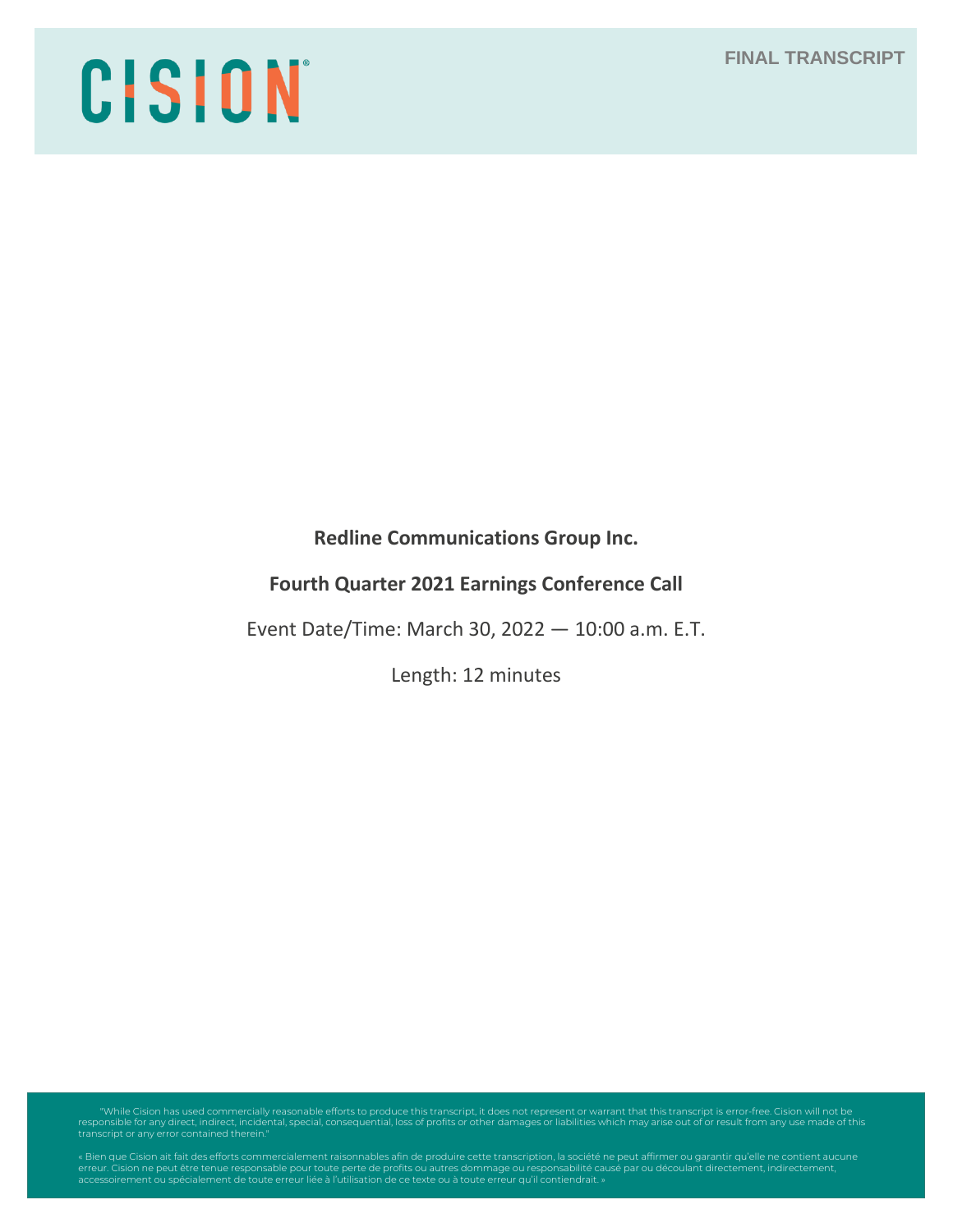# CISION

**Redline Communications Group Inc.**

# **Fourth Quarter 2021 Earnings Conference Call**

Event Date/Time: March 30, 2022 — 10:00 a.m. E.T.

Length: 12 minutes

"While Cision has used commercially reasonable efforts to produce this transcript, it does not represent or warrant that this transcript is error-free. Cision will not be<br>responsible for any direct, indirect, incidental, s

erreur. Cision ne peut être tenue responsable pour toute perte de profits ou autres dommage ou responsabilité causé par ou découlant directement, indirectement,<br>accessoirement ou spécialement de toute erreur liée à l'utili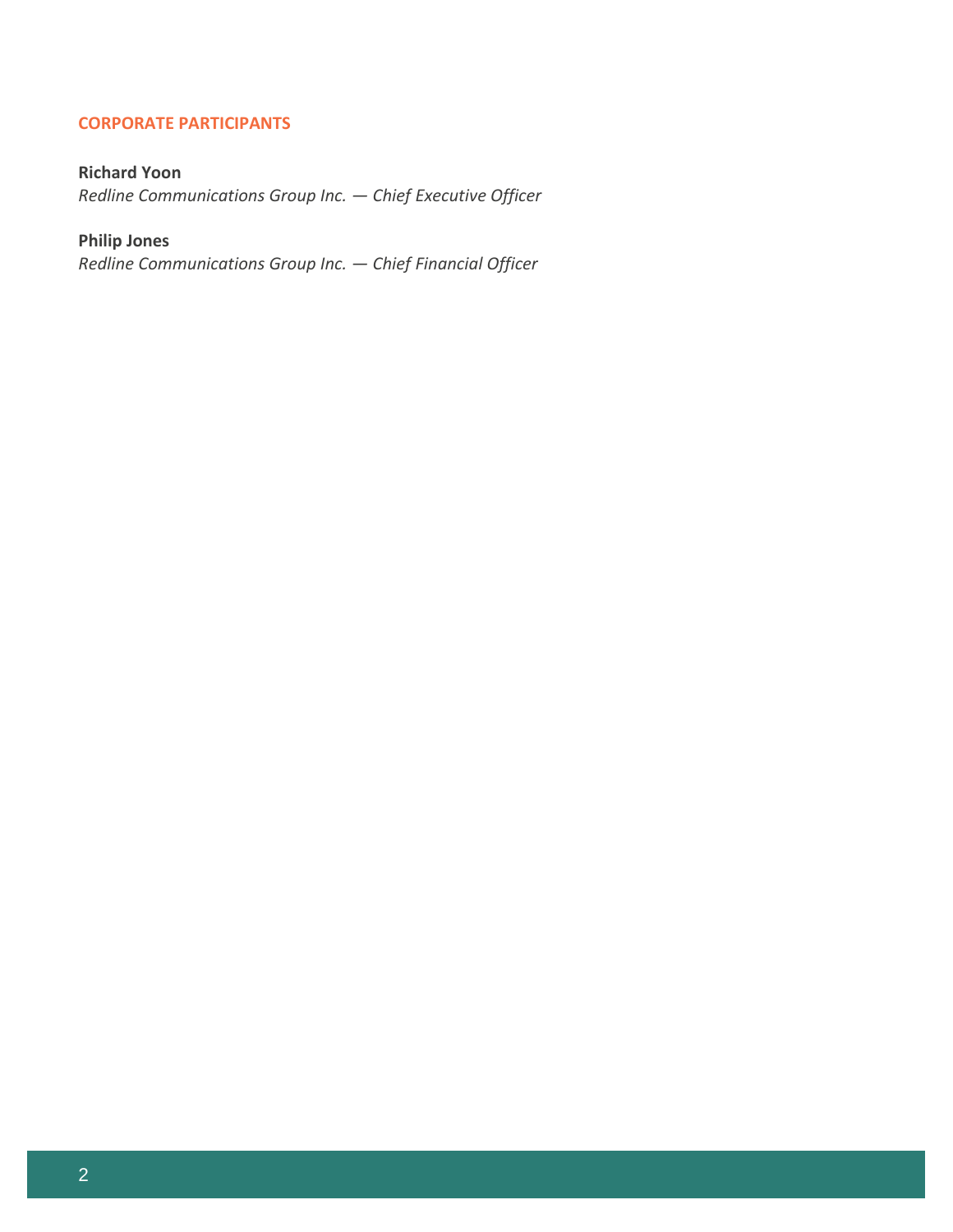# **CORPORATE PARTICIPANTS**

# **Richard Yoon**

*Redline Communications Group Inc. — Chief Executive Officer*

# **Philip Jones**

*Redline Communications Group Inc. — Chief Financial Officer*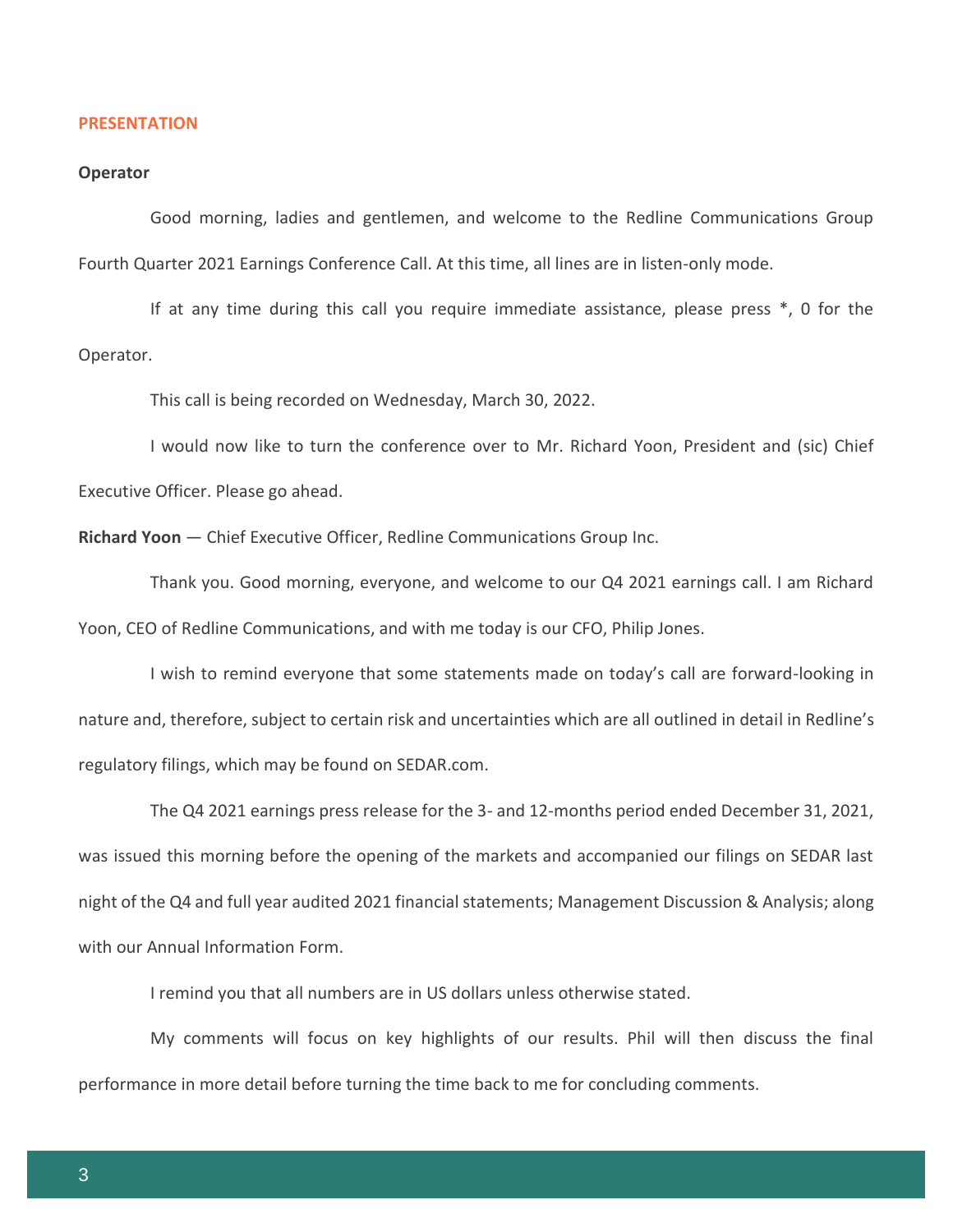### **PRESENTATION**

### **Operator**

Good morning, ladies and gentlemen, and welcome to the Redline Communications Group Fourth Quarter 2021 Earnings Conference Call. At this time, all lines are in listen-only mode.

If at any time during this call you require immediate assistance, please press \*, 0 for the Operator.

This call is being recorded on Wednesday, March 30, 2022.

I would now like to turn the conference over to Mr. Richard Yoon, President and (sic) Chief Executive Officer. Please go ahead.

**Richard Yoon** — Chief Executive Officer, Redline Communications Group Inc.

Thank you. Good morning, everyone, and welcome to our Q4 2021 earnings call. I am Richard Yoon, CEO of Redline Communications, and with me today is our CFO, Philip Jones.

I wish to remind everyone that some statements made on today's call are forward-looking in nature and, therefore, subject to certain risk and uncertainties which are all outlined in detail in Redline's regulatory filings, which may be found on SEDAR.com.

The Q4 2021 earnings press release for the 3- and 12-months period ended December 31, 2021, was issued this morning before the opening of the markets and accompanied our filings on SEDAR last night of the Q4 and full year audited 2021 financial statements; Management Discussion & Analysis; along with our Annual Information Form.

I remind you that all numbers are in US dollars unless otherwise stated.

My comments will focus on key highlights of our results. Phil will then discuss the final performance in more detail before turning the time back to me for concluding comments.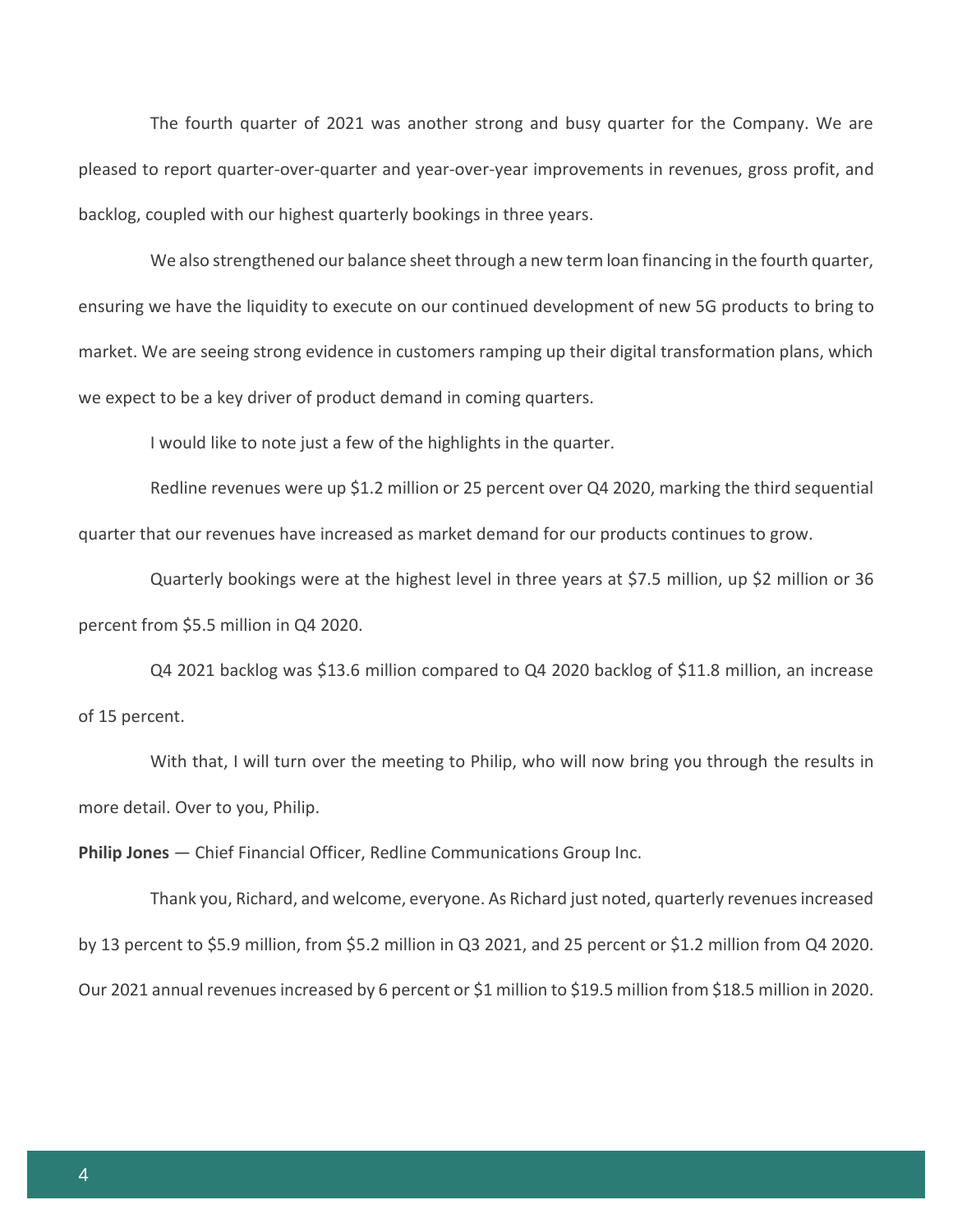The fourth quarter of 2021 was another strong and busy quarter for the Company. We are pleased to report quarter-over-quarter and year-over-year improvements in revenues, gross profit, and backlog, coupled with our highest quarterly bookings in three years.

We also strengthened our balance sheet through a new term loan financing in the fourth quarter, ensuring we have the liquidity to execute on our continued development of new 5G products to bring to market. We are seeing strong evidence in customers ramping up their digital transformation plans, which we expect to be a key driver of product demand in coming quarters.

I would like to note just a few of the highlights in the quarter.

Redline revenues were up \$1.2 million or 25 percent over Q4 2020, marking the third sequential quarter that our revenues have increased as market demand for our products continues to grow.

Quarterly bookings were at the highest level in three years at \$7.5 million, up \$2 million or 36 percent from \$5.5 million in Q4 2020.

Q4 2021 backlog was \$13.6 million compared to Q4 2020 backlog of \$11.8 million, an increase of 15 percent.

With that, I will turn over the meeting to Philip, who will now bring you through the results in more detail. Over to you, Philip.

**Philip Jones** — Chief Financial Officer, Redline Communications Group Inc.

Thank you, Richard, and welcome, everyone. As Richard just noted, quarterly revenues increased by 13 percent to \$5.9 million, from \$5.2 million in Q3 2021, and 25 percent or \$1.2 million from Q4 2020. Our 2021 annual revenues increased by 6 percent or \$1 million to \$19.5 million from \$18.5 million in 2020.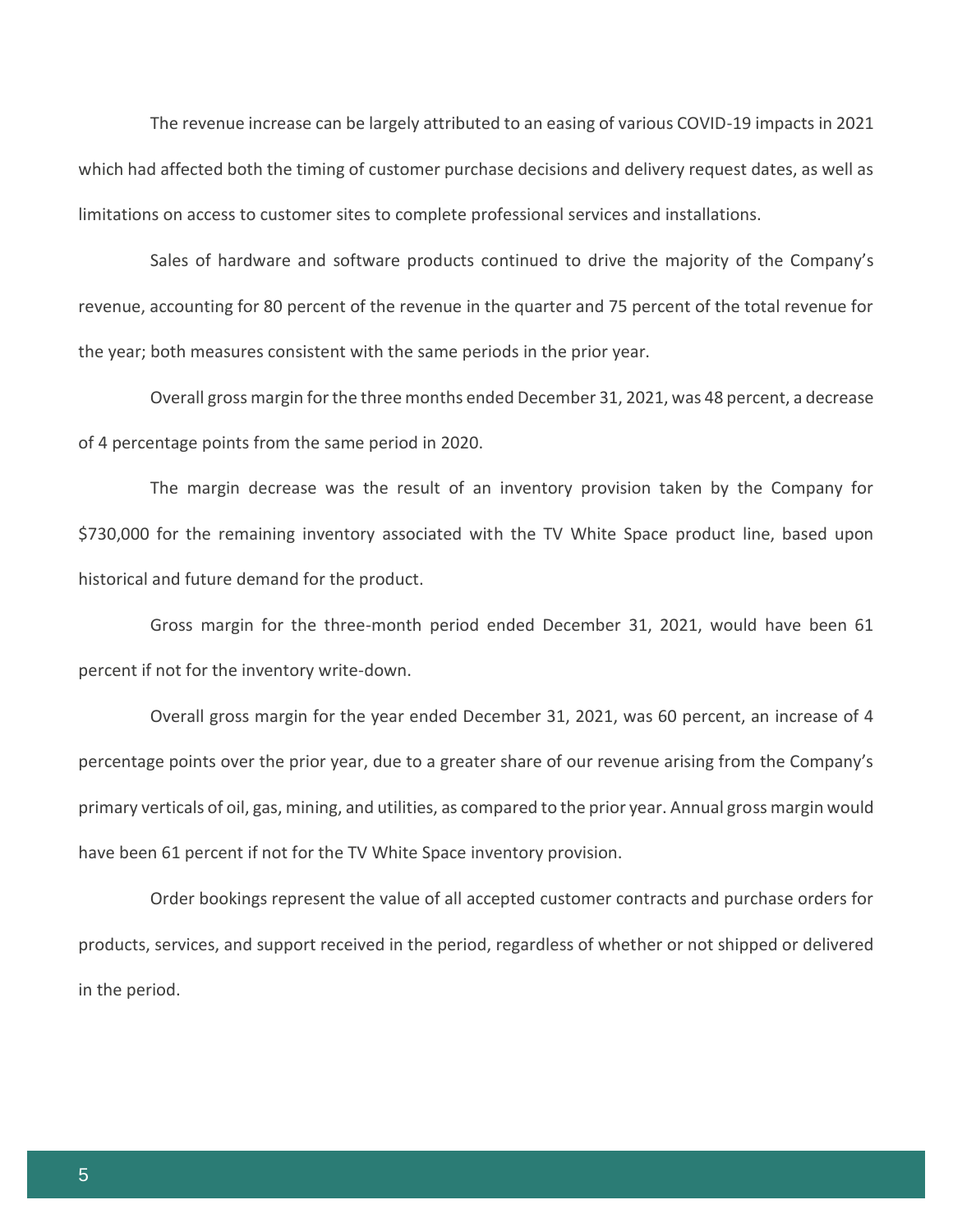The revenue increase can be largely attributed to an easing of various COVID-19 impacts in 2021 which had affected both the timing of customer purchase decisions and delivery request dates, as well as limitations on access to customer sites to complete professional services and installations.

Sales of hardware and software products continued to drive the majority of the Company's revenue, accounting for 80 percent of the revenue in the quarter and 75 percent of the total revenue for the year; both measures consistent with the same periods in the prior year.

Overall gross margin for the three months ended December 31, 2021, was 48 percent, a decrease of 4 percentage points from the same period in 2020.

The margin decrease was the result of an inventory provision taken by the Company for \$730,000 for the remaining inventory associated with the TV White Space product line, based upon historical and future demand for the product.

Gross margin for the three-month period ended December 31, 2021, would have been 61 percent if not for the inventory write-down.

Overall gross margin for the year ended December 31, 2021, was 60 percent, an increase of 4 percentage points over the prior year, due to a greater share of our revenue arising from the Company's primary verticals of oil, gas, mining, and utilities, as compared to the prior year. Annual gross margin would have been 61 percent if not for the TV White Space inventory provision.

Order bookings represent the value of all accepted customer contracts and purchase orders for products, services, and support received in the period, regardless of whether or not shipped or delivered in the period.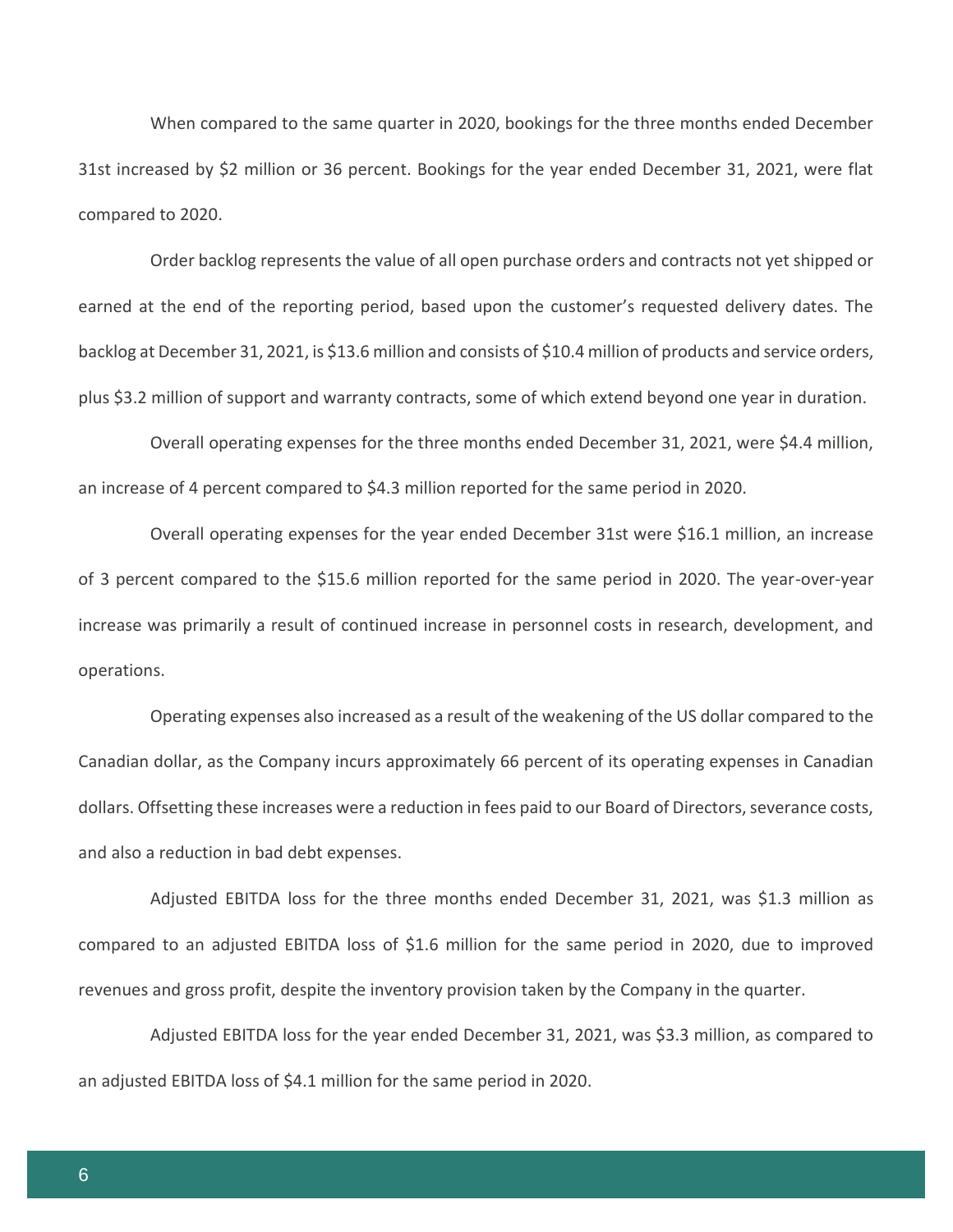When compared to the same quarter in 2020, bookings for the three months ended December 31st increased by \$2 million or 36 percent. Bookings for the year ended December 31, 2021, were flat compared to 2020.

Order backlog represents the value of all open purchase orders and contracts not yet shipped or earned at the end of the reporting period, based upon the customer's requested delivery dates. The backlog at December 31, 2021, is \$13.6 million and consists of \$10.4 million of products and service orders, plus \$3.2 million of support and warranty contracts, some of which extend beyond one year in duration.

Overall operating expenses for the three months ended December 31, 2021, were \$4.4 million, an increase of 4 percent compared to \$4.3 million reported for the same period in 2020.

Overall operating expenses for the year ended December 31st were \$16.1 million, an increase of 3 percent compared to the \$15.6 million reported for the same period in 2020. The year-over-year increase was primarily a result of continued increase in personnel costs in research, development, and operations.

Operating expenses also increased as a result of the weakening of the US dollar compared to the Canadian dollar, as the Company incurs approximately 66 percent of its operating expenses in Canadian dollars. Offsetting these increases were a reduction in fees paid to our Board of Directors, severance costs, and also a reduction in bad debt expenses.

Adjusted EBITDA loss for the three months ended December 31, 2021, was \$1.3 million as compared to an adjusted EBITDA loss of \$1.6 million for the same period in 2020, due to improved revenues and gross profit, despite the inventory provision taken by the Company in the quarter.

Adjusted EBITDA loss for the year ended December 31, 2021, was \$3.3 million, as compared to an adjusted EBITDA loss of \$4.1 million for the same period in 2020.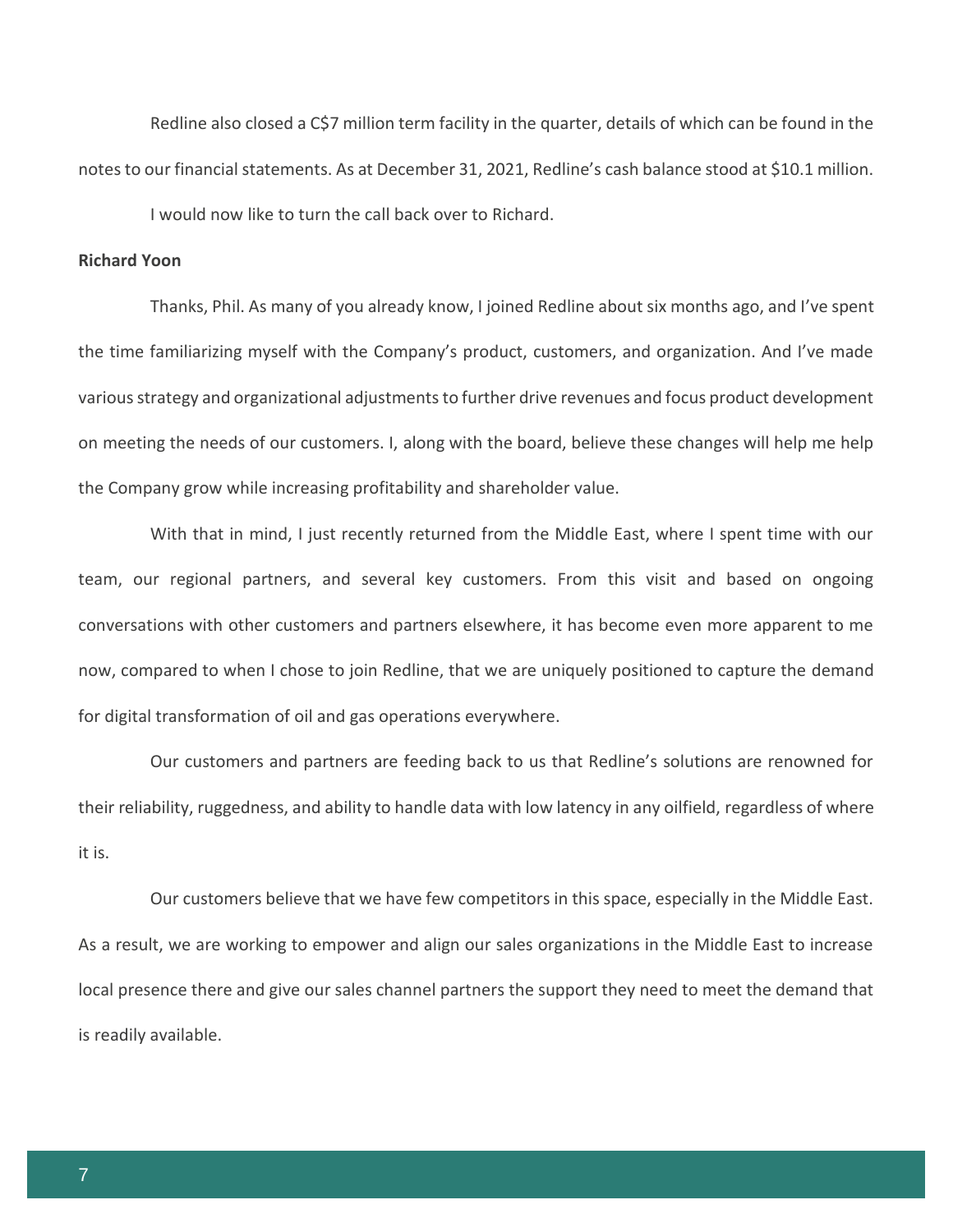Redline also closed a C\$7 million term facility in the quarter, details of which can be found in the notes to our financial statements. As at December 31, 2021, Redline's cash balance stood at \$10.1 million.

I would now like to turn the call back over to Richard.

### **Richard Yoon**

Thanks, Phil. As many of you already know, I joined Redline about six months ago, and I've spent the time familiarizing myself with the Company's product, customers, and organization. And I've made various strategy and organizational adjustments to further drive revenues and focus product development on meeting the needs of our customers. I, along with the board, believe these changes will help me help the Company grow while increasing profitability and shareholder value.

With that in mind, I just recently returned from the Middle East, where I spent time with our team, our regional partners, and several key customers. From this visit and based on ongoing conversations with other customers and partners elsewhere, it has become even more apparent to me now, compared to when I chose to join Redline, that we are uniquely positioned to capture the demand for digital transformation of oil and gas operations everywhere.

Our customers and partners are feeding back to us that Redline's solutions are renowned for their reliability, ruggedness, and ability to handle data with low latency in any oilfield, regardless of where it is.

Our customers believe that we have few competitors in this space, especially in the Middle East. As a result, we are working to empower and align our sales organizations in the Middle East to increase local presence there and give our sales channel partners the support they need to meet the demand that is readily available.